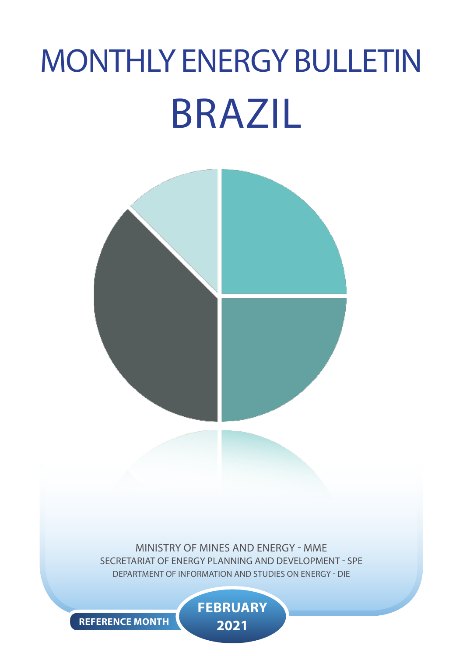# MONTHLY ENERGY BULLETIN BRAZIL



MINISTRY OF MINES AND ENERGY - MME SECRETARIAT OF ENERGY PLANNING AND DEVELOPMENT - SPE DEPARTMENT OF INFORMATION AND STUDIES ON ENERGY - DIE

> **FEBRUARY 2021**

**REFERENCE MONTH**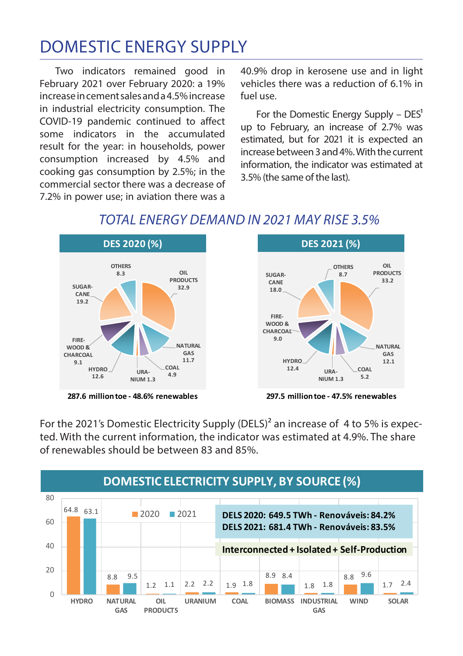## DOMESTIC ENERGY SUPPLY

Two indicators remained good in February 2021 over February 2020: a 19% increase in cement sales and a 4.5% increase in industrial electricity consumption. The COVID-19 pandemic continued to affect some indicators in the accumulated result for the year: in households, power consumption increased by 4.5% and cooking gas consumption by 2.5%; in the commercial sector there was a decrease of 7.2% in power use; in aviation there was a

40.9% drop in kerosene use and in light vehicles there was a reduction of 6.1% in fuel use.

For the Domestic Energy Supply –  $DES<sup>1</sup>$ up to February, an increase of 2.7% was estimated, but for 2021 it is expected an increase between 3 and 4%. With the current information, the indicator was estimated at 3.5% (the same of the last).



### *TOTAL ENERGY DEMAND IN 2021 MAY RISE 3.5%*

**287.6 million toe - 48.6% renewables**



**297.5 million toe - 47.5% renewables**

For the 2021's Domestic Electricity Supply (DELS)² an increase of 4 to 5% is expected. With the current information, the indicator was estimated at 4.9%. The share of renewables should be between 83 and 85%.

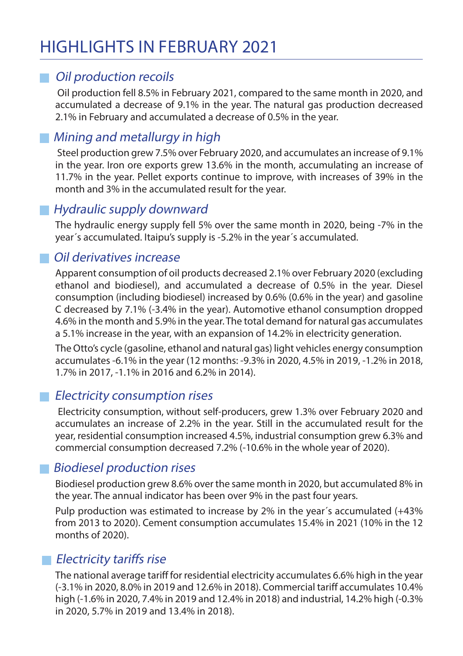## HIGHLIGHTS IN FEBRUARY 2021

#### **Oil production recoils**

 Oil production fell 8.5% in February 2021, compared to the same month in 2020, and accumulated a decrease of 9.1% in the year. The natural gas production decreased 2.1% in February and accumulated a decrease of 0.5% in the year.

#### **Mining and metallurgy in high**

 Steel production grew 7.5% over February 2020, and accumulates an increase of 9.1% in the year. Iron ore exports grew 13.6% in the month, accumulating an increase of 11.7% in the year. Pellet exports continue to improve, with increases of 39% in the month and 3% in the accumulated result for the year.

#### Hydraulic supply downward

The hydraulic energy supply fell 5% over the same month in 2020, being -7% in the year´s accumulated. Itaipu's supply is -5.2% in the year´s accumulated.

#### Oil derivatives increase

Apparent consumption of oil products decreased 2.1% over February 2020 (excluding ethanol and biodiesel), and accumulated a decrease of 0.5% in the year. Diesel consumption (including biodiesel) increased by 0.6% (0.6% in the year) and gasoline C decreased by 7.1% (-3.4% in the year). Automotive ethanol consumption dropped 4.6% in the month and 5.9% in the year. The total demand for natural gas accumulates a 5.1% increase in the year, with an expansion of 14.2% in electricity generation.

The Otto's cycle (gasoline, ethanol and natural gas) light vehicles energy consumption accumulates -6.1% in the year (12 months: -9.3% in 2020, 4.5% in 2019, -1.2% in 2018, 1.7% in 2017, -1.1% in 2016 and 6.2% in 2014).

#### **Electricity consumption rises**

 Electricity consumption, without self-producers, grew 1.3% over February 2020 and accumulates an increase of 2.2% in the year. Still in the accumulated result for the year, residential consumption increased 4.5%, industrial consumption grew 6.3% and commercial consumption decreased 7.2% (-10.6% in the whole year of 2020).

#### Biodiesel production rises

Biodiesel production grew 8.6% over the same month in 2020, but accumulated 8% in the year. The annual indicator has been over 9% in the past four years.

Pulp production was estimated to increase by 2% in the year´s accumulated (+43% from 2013 to 2020). Cement consumption accumulates 15.4% in 2021 (10% in the 12 months of 2020).

#### **Electricity tariffs rise**

The national average tariff for residential electricity accumulates 6.6% high in the year (-3.1% in 2020, 8.0% in 2019 and 12.6% in 2018). Commercial tariff accumulates 10.4% high (-1.6% in 2020, 7.4% in 2019 and 12.4% in 2018) and industrial, 14.2% high (-0.3% in 2020, 5.7% in 2019 and 13.4% in 2018).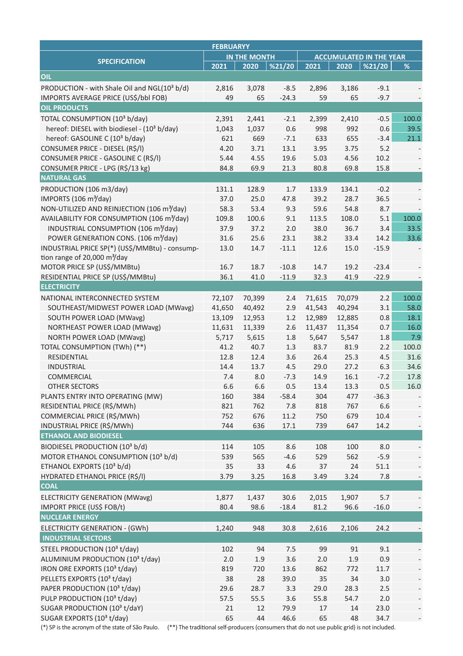| <b>FEBRUARYY</b>                                                                                                                              |              |        |         |                                |        |         |       |
|-----------------------------------------------------------------------------------------------------------------------------------------------|--------------|--------|---------|--------------------------------|--------|---------|-------|
|                                                                                                                                               | IN THE MONTH |        |         | <b>ACCUMULATED IN THE YEAR</b> |        |         |       |
| <b>SPECIFICATION</b>                                                                                                                          | 2021         | 2020   | %21/20  | 2021                           | 2020   | %21/20  | $\%$  |
| OIL                                                                                                                                           |              |        |         |                                |        |         |       |
| PRODUCTION - with Shale Oil and NGL(10 <sup>3</sup> b/d)                                                                                      | 2,816        | 3,078  | $-8.5$  | 2,896                          | 3,186  | $-9.1$  |       |
| IMPORTS AVERAGE PRICE (US\$/bbl FOB)                                                                                                          | 49           | 65     | $-24.3$ | 59                             | 65     | $-9.7$  |       |
| <b>OIL PRODUCTS</b>                                                                                                                           |              |        |         |                                |        |         |       |
| TOTAL CONSUMPTION (10 <sup>3</sup> b/day)                                                                                                     | 2,391        | 2,441  | $-2.1$  | 2,399                          | 2,410  | $-0.5$  | 100.0 |
| hereof: DIESEL with biodiesel - (10 <sup>3</sup> b/day)                                                                                       | 1,043        | 1,037  | 0.6     | 998                            | 992    | 0.6     | 39.5  |
| hereof: GASOLINE C (10 <sup>3</sup> b/day)                                                                                                    | 621          | 669    | $-7.1$  | 633                            | 655    | $-3.4$  | 21.1  |
| CONSUMER PRICE - DIESEL (R\$/I)                                                                                                               | 4.20         | 3.71   | 13.1    | 3.95                           | 3.75   | 5.2     |       |
| CONSUMER PRICE - GASOLINE C (R\$/I)                                                                                                           | 5.44         | 4.55   | 19.6    | 5.03                           | 4.56   | 10.2    |       |
| CONSUMER PRICE - LPG (R\$/13 kg)                                                                                                              | 84.8         | 69.9   | 21.3    | 80.8                           | 69.8   | 15.8    |       |
| <b>NATURAL GAS</b>                                                                                                                            |              |        |         |                                |        |         |       |
| PRODUCTION (106 m3/day)                                                                                                                       | 131.1        | 128.9  | 1.7     | 133.9                          | 134.1  | $-0.2$  |       |
| IMPORTS (106 m <sup>3</sup> /day)                                                                                                             | 37.0         | 25.0   | 47.8    | 39.2                           | 28.7   | 36.5    |       |
| NON-UTILIZED AND REINJECTION (106 m <sup>3</sup> /day)                                                                                        | 58.3         | 53.4   | 9.3     | 59.6                           | 54.8   | 8.7     |       |
| AVAILABILITY FOR CONSUMPTION (106 m <sup>3</sup> /day)                                                                                        | 109.8        | 100.6  | 9.1     | 113.5                          | 108.0  | 5.1     | 100.0 |
| INDUSTRIAL CONSUMPTION (106 m <sup>3</sup> /day)                                                                                              | 37.9         | 37.2   | 2.0     | 38.0                           | 36.7   | 3.4     | 33.5  |
| POWER GENERATION CONS. (106 m <sup>3</sup> /day)                                                                                              | 31.6         | 25.6   | 23.1    | 38.2                           | 33.4   | 14.2    | 33.6  |
| INDUSTRIAL PRICE SP(*) (US\$/MMBtu) - consump-                                                                                                | 13.0         | 14.7   | $-11.1$ | 12.6                           | 15.0   | $-15.9$ |       |
| tion range of 20,000 $\text{m}^3$ /day                                                                                                        |              |        |         |                                |        |         |       |
| MOTOR PRICE SP (US\$/MMBtu)                                                                                                                   | 16.7         | 18.7   | $-10.8$ | 14.7                           | 19.2   | $-23.4$ |       |
| RESIDENTIAL PRICE SP (US\$/MMBtu)                                                                                                             | 36.1         | 41.0   | $-11.9$ | 32.3                           | 41.9   | $-22.9$ |       |
| <b>ELECTRICITY</b>                                                                                                                            |              |        |         |                                |        |         |       |
| NATIONAL INTERCONNECTED SYSTEM                                                                                                                | 72,107       | 70,399 | 2.4     | 71,615                         | 70,079 | 2.2     | 100.0 |
| SOUTHEAST/MIDWEST POWER LOAD (MWavg)                                                                                                          | 41,650       | 40,492 | 2.9     | 41,543                         | 40,294 | 3.1     | 58.0  |
| SOUTH POWER LOAD (MWavg)                                                                                                                      | 13,109       | 12,953 | 1.2     | 12,989                         | 12,885 | 0.8     | 18.1  |
| <b>NORTHEAST POWER LOAD (MWavg)</b>                                                                                                           | 11,631       | 11,339 | 2.6     | 11,437                         | 11,354 | 0.7     | 16.0  |
| <b>NORTH POWER LOAD (MWavg)</b>                                                                                                               | 5,717        | 5,615  | 1.8     | 5,647                          | 5,547  | 1.8     | 7.9   |
| TOTAL CONSUMPTION (TWh) (**)                                                                                                                  | 41.2         | 40.7   | 1.3     | 83.7                           | 81.9   | 2.2     | 100.0 |
| <b>RESIDENTIAL</b>                                                                                                                            | 12.8         | 12.4   | 3.6     | 26.4                           | 25.3   | 4.5     | 31.6  |
| <b>INDUSTRIAL</b>                                                                                                                             | 14.4         | 13.7   | 4.5     | 29.0                           | 27.2   | 6.3     | 34.6  |
| COMMERCIAL                                                                                                                                    | 7.4          | 8.0    | $-7.3$  | 14.9                           | 16.1   | $-7.2$  | 17.8  |
| <b>OTHER SECTORS</b>                                                                                                                          | 6.6          | 6.6    | 0.5     | 13.4                           | 13.3   | 0.5     | 16.0  |
| PLANTS ENTRY INTO OPERATING (MW)                                                                                                              | 160          | 384    | $-58.4$ | 304                            | 477    | $-36.3$ |       |
| RESIDENTIAL PRICE (R\$/MWh)                                                                                                                   | 821          | 762    | 7.8     | 818                            | 767    | 6.6     |       |
| COMMERCIAL PRICE (R\$/MWh)                                                                                                                    | 752          | 676    | 11.2    | 750                            | 679    | 10.4    |       |
| INDUSTRIAL PRICE (R\$/MWh)                                                                                                                    | 744          | 636    | 17.1    | 739                            | 647    | 14.2    |       |
| <b>ETHANOL AND BIODIESEL</b>                                                                                                                  |              |        |         |                                |        |         |       |
| BIODIESEL PRODUCTION (103 b/d)                                                                                                                | 114          | 105    | 8.6     | 108                            | 100    | 8.0     |       |
| MOTOR ETHANOL CONSUMPTION (10 <sup>3</sup> b/d)                                                                                               | 539          | 565    | $-4.6$  | 529                            | 562    | $-5.9$  |       |
| ETHANOL EXPORTS (10 <sup>3</sup> b/d)                                                                                                         | 35           | 33     | 4.6     | 37                             | 24     | 51.1    |       |
| HYDRATED ETHANOL PRICE (R\$/I)                                                                                                                | 3.79         | 3.25   | 16.8    | 3.49                           | 3.24   | 7.8     |       |
| <b>COAL</b>                                                                                                                                   |              |        |         |                                |        |         |       |
| <b>ELECTRICITY GENERATION (MWavg)</b>                                                                                                         | 1,877        | 1,437  | 30.6    | 2,015                          | 1,907  | 5.7     |       |
| IMPORT PRICE (US\$ FOB/t)                                                                                                                     | 80.4         | 98.6   | $-18.4$ | 81.2                           | 96.6   | $-16.0$ |       |
| <b>NUCLEAR ENERGY</b>                                                                                                                         |              |        |         |                                |        |         |       |
| ELECTRICITY GENERATION - (GWh)                                                                                                                | 1,240        | 948    | 30.8    | 2,616                          | 2,106  | 24.2    |       |
| <b>INDUSTRIAL SECTORS</b>                                                                                                                     |              |        |         |                                |        |         |       |
| STEEL PRODUCTION (10 <sup>3</sup> t/day)                                                                                                      | 102          | 94     | 7.5     | 99                             | 91     | 9.1     |       |
| ALUMINIUM PRODUCTION (103 t/day)                                                                                                              | 2.0          | 1.9    | 3.6     | 2.0                            | 1.9    | 0.9     |       |
| IRON ORE EXPORTS (10 <sup>3</sup> t/day)                                                                                                      | 819          | 720    | 13.6    | 862                            | 772    | 11.7    |       |
| PELLETS EXPORTS (10 <sup>3</sup> t/day)                                                                                                       | 38           | 28     | 39.0    | 35                             | 34     | 3.0     |       |
| PAPER PRODUCTION (10 <sup>3</sup> t/day)                                                                                                      | 29.6         | 28.7   | 3.3     | 29.0                           | 28.3   | 2.5     |       |
| PULP PRODUCTION (103 t/day)                                                                                                                   | 57.5         | 55.5   | 3.6     | 55.8                           | 54.7   | 2.0     |       |
| SUGAR PRODUCTION (103 t/daY)                                                                                                                  | 21           | 12     | 79.9    | 17                             | 14     | 23.0    |       |
| SUGAR EXPORTS (10 <sup>3</sup> t/day)                                                                                                         | 65           | 44     | 46.6    | 65                             | 48     | 34.7    |       |
| (*) SP is the acronym of the state of São Paulo. (**) The traditional self-producers (consumers that do not use public grid) is not included. |              |        |         |                                |        |         |       |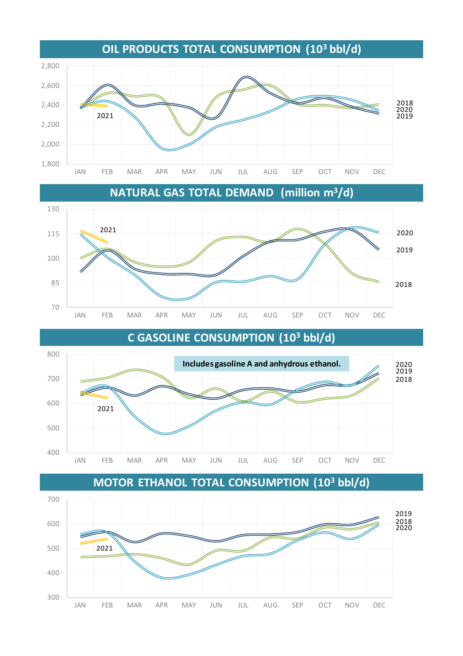

**NATURAL GAS TOTAL DEMAND (million m3/d)**





**MOTOR ETHANOL TOTAL CONSUMPTION (103 bbl/d)**



**C GASOLINE CONSUMPTION (103 bbl/d)**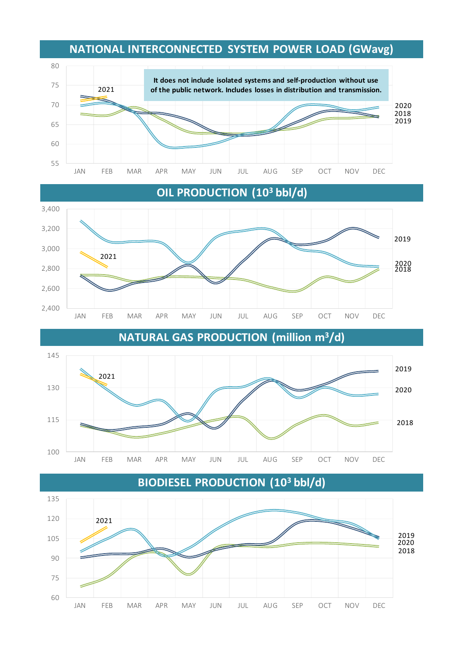







#### **NATIONAL INTERCONNECTED SYSTEM POWER LOAD (GWavg)**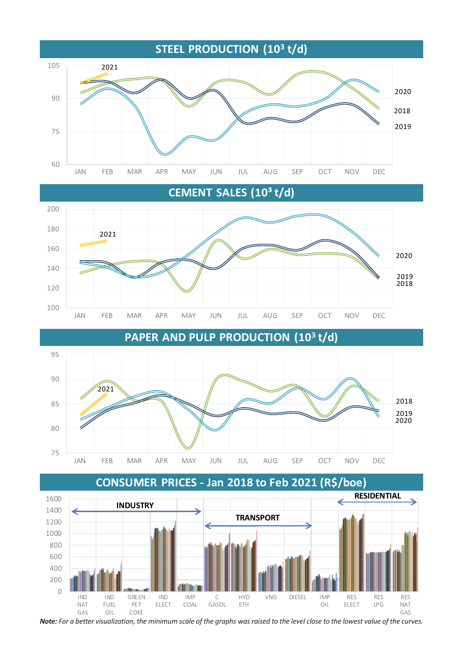

**CEMENT SALES (10³ t/d)**







*Note: For a better visualization, the minimum scale of the graphs was raised to the level close to the lowest value of the curves.*